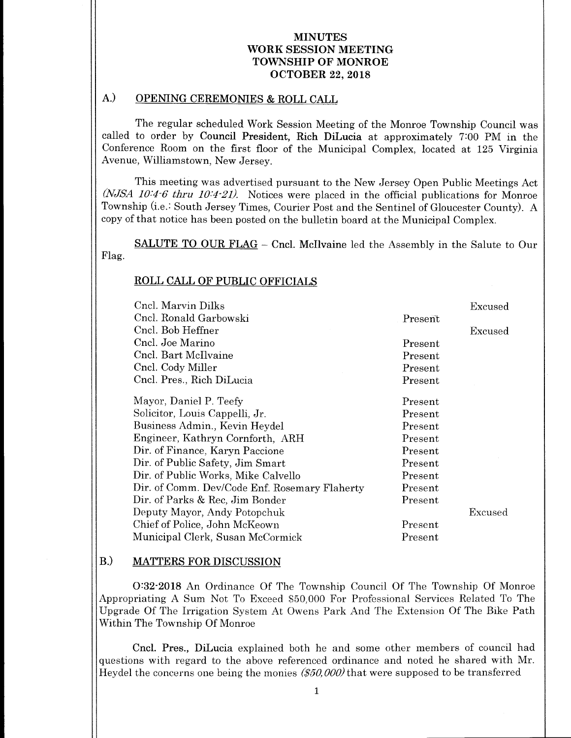# A.) OPENING CEREMONIES & ROLL CALL

The regular scheduled Work Session Meeting of the Monroe Township Council was called to order by Council President, Rich DiLucia at approximately 7:00 PM in the Conference Room on the first floor of the Municipal Complex, located at 125 Virginia Avenue, Williamstown, New Jersey.

This meeting was advertised pursuant to the New Jersey Open Public Meetings Act  $(NJSA$  10:4-6 thru 10:4-21). Notices were placed in the official publications for Monroe Township (i.e.: South Jersey Times, Courier Post and the Sentinel of Gloucester County). A copy of that notice has been posted on the bulletin board at the Municipal Complex.

SALUTE TO OUR FLAG - Cncl. McIlvaine led the Assembly in the Salute to Our Flag.

# ROLL CALL OF PUBLIC OFFICIALS

| Cnel. Marvin Dilks                            |         | Excused |
|-----------------------------------------------|---------|---------|
| Cncl. Ronald Garbowski                        | Present |         |
| Cncl. Bob Heffner                             |         | Excused |
| Cncl. Joe Marino                              | Present |         |
| Cncl. Bart McIlvaine                          | Present |         |
| Cncl. Cody Miller                             | Present |         |
| Cncl. Pres., Rich DiLucia                     | Present |         |
| Mayor, Daniel P. Teefy                        | Present |         |
| Solicitor, Louis Cappelli, Jr.                | Present |         |
| Business Admin., Kevin Heydel                 | Present |         |
| Engineer, Kathryn Cornforth, ARH              | Present |         |
| Dir. of Finance, Karyn Paccione               | Present |         |
| Dir. of Public Safety, Jim Smart              | Present |         |
| Dir. of Public Works, Mike Calvello           | Present |         |
| Dir. of Comm. Dev/Code Enf. Rosemary Flaherty | Present |         |
| Dir. of Parks & Rec. Jim Bonder               | Present |         |
| Deputy Mayor, Andy Potopchuk                  |         | Excused |
| Chief of Police, John McKeown                 | Present |         |
| Municipal Clerk, Susan McCormick              | Present |         |

# B.) MATTERS FOR DISCUSSION

0:32-2018 An Ordinance Of The Township Council Of The Township Of Monroe Appropriating A Sum Not To Exceed \$50,000 For Professional Services Related To The Upgrade Of The Irrigation System At Owens Park And The Extension Of The Bike Path Within The Township Of Monroe

Cncl. Pres., DiLucia explained both he and some other members of council had questions with regard to the above referenced ordinance and noted he shared with Mr. Heydel the concerns one being the monies  $($50,000)$  that were supposed to be transferred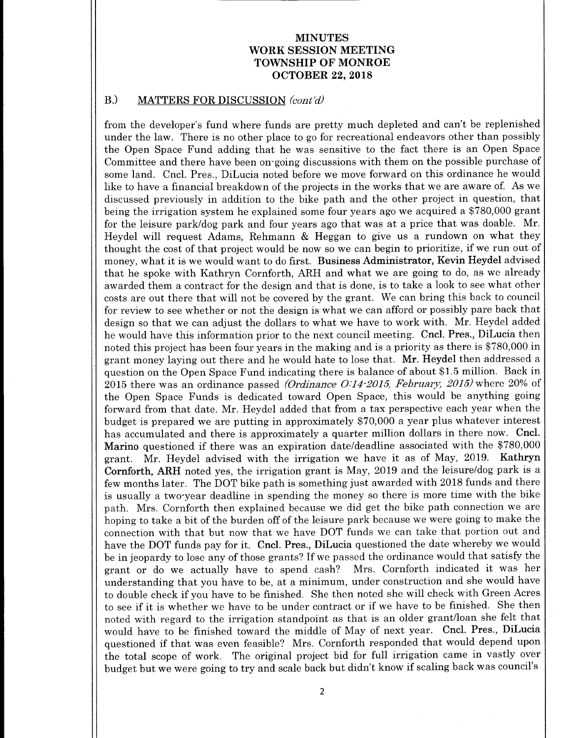#### B.) MATTERS FOR DISCUSSION (cont'd)

from the developer's fund where funds are pretty much depleted and can't be replenished under the law. There is no other place to go for recreational endeavors other than possibly the Open Space Fund adding that he was sensitive to the fact there is an Open Space Committee and there have been on-going discussions with them on the possible purchase of some land. Cncl. Pres., DiLucia noted before we move forward on this ordinance he would like to have a financial breakdown of the projects in the works that we are aware of. As we discussed previously in addition to the bike path and the other project in question, that being the irrigation system he explained some four years ago we acquired a \$780,000 grant for the leisure park/dog park and four years ago that was at <sup>a</sup> price that was doable. Mr. Heydel will request Adams, Rehmann & Heggan to give us <sup>a</sup> rundown on what they thought the cost of that project would be now so we can begin to prioritize, if we run out of money, what it is we would want to do first. Business Administrator, Kevin Heydel advised that he spoke with Kathryn Cornforth, ARH and what we are going to do, as we already awarded them a contract for the design and that is done, is to take a look to see what other costs are out there that will not be covered by the grant. We can bring this back to council for review to see whether or not the design is what we can afford or possibly pare back that design so that we can adjust the dollars to what we have to work with. Mr. Heydel added he would have this information prior to the next council meeting. Cncl. Pres., DiLucia then noted this project has been four years in the making and is a priority as there is \$780,000 in grant money laying out there and he would hate to lose that. Mr. Heydel then addressed <sup>a</sup> question on the Open Space Fund indicating there is balance of about \$1.5 million. Back in 2015 there was an ordinance passed (Ordinance  $O/14$ -2015, February, 2015) where 20% of the Open Space Funds is dedicated toward Open Space, this would be anything going forward from that date. Mr. Heydel added that from a tax perspective each year when the budget is prepared we are putting in approximately \$70,000 a year plus whatever interest has accumulated and there is approximately <sup>a</sup> quarter million dollars in there now. Cncl. Marino questioned if there was an expiration date/deadline associated with the \$780,000 grant. Mr. Heydel advised with the irrigation we have it as of May, 2019. Kathryn Cornforth, ARH noted yes, the irrigation grant is May, 2019 and the leisure/dog park is a few months later. The DOT bike path is something just awarded with 2018 funds and there is usually a two-year deadline in spending the money so there is more time with the bike path. Mrs. Cornforth then explained because we did get the bike path connection we are hoping to take a bit of the burden off of the leisure park because we were going to make the connection with that but now that we have DOT funds we can take that portion out and have the DOT funds pay for it. Cncl. Pres., DiLucia questioned the date whereby we would be in jeopardy to lose any of those grants? If we passed the ordinance would that satisfy the grant or do we actually have to spend cash? Mrs. Cornforth indicated it was her grant or do we actually have to spend cash? understanding that you have to be, at <sup>a</sup> minimum, under construction and she would have to double check if you have to be finished. She then noted she will check with Green Acres to see if it is whether we have to be under contract or if we have to be finished. She then noted with regard to the irrigation standpoint as that is an older grant/loan she felt that would have to be finished toward the middle of May of next year. Cncl. Pres., DiLucia questioned if that was even feasible? Mrs. Cornforth responded that would depend upon the total scope of work. The original project bid for full irrigation came in vastly over budget but we were going to try and scale back but didn't know if scaling back was council's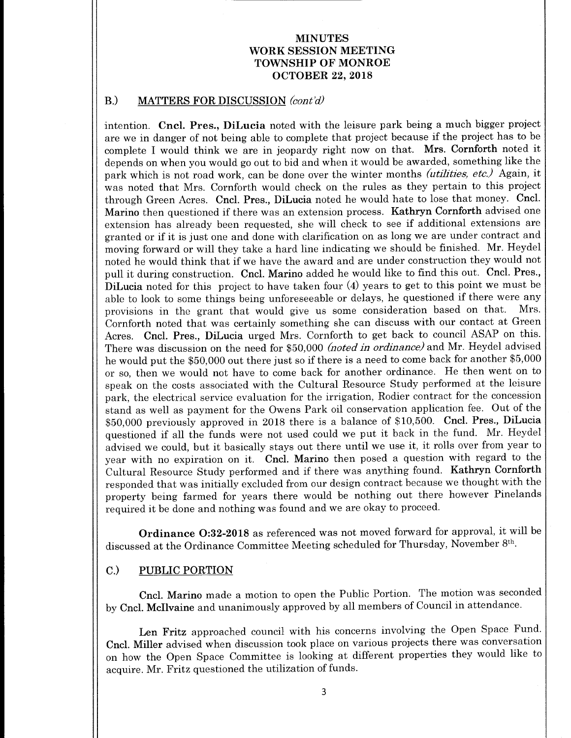#### B.) MATTERS FOR DISCUSSION (cont'd)

intention. Cncl. Pres., DiLucia noted with the leisure park being a much bigger project are we in danger of not being able to complete that project because if the project has to be complete I would think we are in jeopardy right now on that. Mrs. Cornforth noted it depends on when you would go out to bid and when it would be awarded, something like the park which is not road work, can be done over the winter months *(utilities, etc.)* Again, it was noted that Mrs. Cornforth would check on the rules as they pertain to this project through Green Acres. Cncl. Pres., DiLucia noted he would hate to lose that money. Cncl. Marino then questioned if there was an extension process. Kathryn Cornforth advised one extension has already been requested, she will check to see if additional extensions are granted or if it is just one and done with clarification on as long we are under contract and moving forward or will they take <sup>a</sup> hard line indicating we should be finished. Mr. Heydel noted he would think that if we have the award and are under construction they would not pull it during construction. Cncl. Marino added he would like to find this out. Cncl. Pres., DiLucia noted for this project to have taken four (4) years to get to this point we must be able to look to some things being unforeseeable or delays, he questioned if there were any<br>provisions in the grant that would give us some consideration based on that. Mrs. provisions in the grant that would give us some consideration based on that. Cornforth noted that was certainly something she can discuss with our contact at Green Acres. Cncl. Pres., DiLucia urged Mrs. Cornforth to get back to council ASAP on this. There was discussion on the need for \$50,000 (noted in ordinance) and Mr. Heydel advised he would put the \$50,000 out there just so if there is a need to come back for another \$5,000 or so, then we would not have to come back for another ordinance. He then went on to speak on the costs associated with the Cultural Resource Study performed at the leisure park, the electrical service evaluation for the irrigation, Rodier contract for the concession stand as well as payment for the Owens Park oil conservation application fee. Out of the \$50,000 previously approved in 2018 there is a balance of \$10,500. Cncl. Pres., DiLucia questioned if all the funds were not used could we put it back in the fund. Mr. Heydel advised we could, but it basically stays out there until we use it, it rolls over from year to year with no expiration on it. Cncl. Marino then posed <sup>a</sup> question with regard to the Cultural Resource Study performed and if there was anything found. Kathryn Cornforth responded that was initially excluded from our design contract because we thought with the property being farmed for years there would be nothing out there however Pinelands required it be done and nothing was found and we are okay to proceed.

Ordinance O:32-2018 as referenced was not moved forward for approval, it will be discussed at the Ordinance Committee Meeting scheduled for Thursday, November 8th.

#### C.) PUBLIC PORTION

Cncl. Marino made <sup>a</sup> motion to open the Public Portion. The motion was seconded by Cncl. Mcllvaine and unanimously approved by all members of Council in attendance.

Len Fritz approached council with his concerns involving the Open Space Fund. Cncl. Miller advised when discussion took place on various projects there was conversation on how the Open Space Committee is looking at different properties they would like to acquire. Mr. Fritz questioned the utilization of funds.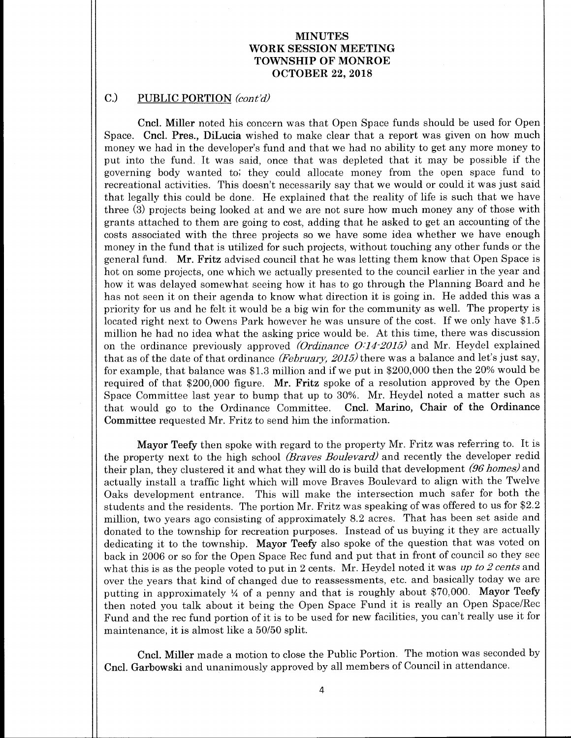# C.) PUBLIC PORTION (cont'd)

Cncl. Miller noted his concern was that Open Space funds should be used for Open Space. Cncl. Pres., DiLucia wished to make clear that a report was given on how much money we had in the developer's fund and that we had no ability to get any more money to put into the fund. It was said, once that was depleted that it may be possible if the governing body wanted to; they could allocate money from the open space fund to recreational activities. This doesn't necessarily say that we would or could it was just said that legally this could be done. He explained that the reality of life is such that we have three (3) projects being looked at and we are not sure how much money any of those with grants attached to them are going to cost, adding that he asked to get an accounting of the costs associated with the three projects so we have some idea whether we have enough money in the fund that is utilized for such projects, without touching any other funds or the general fund. Mr. Fritz advised council that he was letting them know that Open Space is hot on some projects, one which we actually presented to the council earlier in the year and how it was delayed somewhat seeing how it has to go through the Planning Board and he has not seen it on their agenda to know what direction it is going in. He added this was <sup>a</sup> priority for us and he felt it would be <sup>a</sup> big win for the community as well. The property is located right next to Owens Park however he was unsure of the cost. If we only have \$1.5 million he had no idea what the asking price would be. At this time, there was discussion on the ordinance previously approved (Ordinance  $O(14\text{-}2015)$  and Mr. Heydel explained that as of the date of that ordinance *(February, 2015)* there was a balance and let's just say, for example, that balance was \$ 1. <sup>3</sup> million and if we put in \$200,000 then the 20% would be required of that  $$200,000$  figure. Mr. Fritz spoke of a resolution approved by the Open Space Committee last year to bump that up to 30%. Mr. Heydel noted a matter such as that would go to the Ordinance Committee. Cncl. Marino, Chair of the Ordinance that would go to the Ordinance Committee. Committee requested Mr. Fritz to send him the information.

Mayor Teefy then spoke with regard to the property Mr. Fritz was referring to. It is the property next to the high school *(Braves Boulevard)* and recently the developer redid their plan, they clustered it and what they will do is build that development (96 homes) and actually install <sup>a</sup> traffic light which will move Braves Boulevard to align with the Twelve Oaks development entrance. This will make the intersection much safer for both the students and the residents. The portion Mr. Fritz was speaking of was offered to us for \$2. 2 million, two years ago consisting of approximately 8.2 acres. That has been set aside and donated to the township for recreation purposes. Instead of us buying it they are actually dedicating it to the township. Mayor Teefy also spoke of the question that was voted on back in 2006 or so for the Open Space Rec fund and put that in front of council so they see what this is as the people voted to put in 2 cents. Mr. Heydel noted it was up to 2 cents and over the years that kind of changed due to reassessments, etc. and basically today we are putting in approximately  $\frac{1}{4}$  of a penny and that is roughly about \$70,000. Mayor Teefy then noted you talk about it being the Open Space Fund it is really an Open Space/Rec Fund and the rec fund portion of it is to be used for new facilities, you can't really use it for maintenance, it is almost like <sup>a</sup> 50/50 split.

Cncl. Miller made <sup>a</sup> motion to close the Public Portion. The motion was seconded by Cncl. Garbowski and unanimously approved by all members of Council in attendance.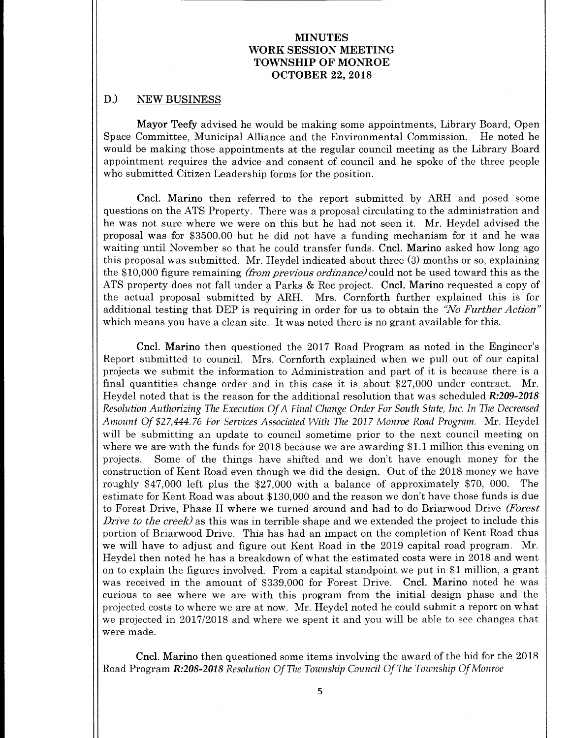# D.) NEW BUSINESS

Mayor Teefy advised he would be making some appointments, Library Board, Open Space Committee, Municipal Alliance and the Environmental Commission. He noted he would be making those appointments at the regular council meeting as the Library Board appointment requires the advice and consent of council and he spoke of the three people who submitted Citizen Leadership forms for the position.

Cncl. Marino then referred to the report submitted by ARH and posed some questions on the ATS Property. There was a proposal circulating to the administration and he was not sure where we were on this but he had not seen it. Mr. Heydel advised the proposal was for \$ 3500.00 but he did not have <sup>a</sup> funding mechanism for it and he was waiting until November so that he could transfer funds. Cncl. Marino asked how long ago this proposal was submitted. Mr. Heydel indicated about three (3) months or so, explaining the \$10,000 figure remaining *(from previous ordinance)* could not be used toward this as the ATS property does not fall under a Parks & Rec project. Cncl. Marino requested a copy of the actual proposal submitted by ARH. Mrs. Cornforth further explained this is for additional testing that DEP is requiring in order for us to obtain the "No Further Action" which means you have <sup>a</sup> clean site. It was noted there is no grant available for this.

Cncl. Marino then questioned the 2017 Road Program as noted in the Engineer's Report submitted to council. Mrs. Cornforth explained when we pull out of our capital projects we submit the information to Administration and part of it is because there is <sup>a</sup> final quantities change order and in this case it is about \$27,000 under contract. Mr. Heydel noted that is the reason for the additional resolution that was scheduled R:209-2018 Resolution Authorizing The Execution Of A Final Change Order For South State, Inc. In The Decreased Amount Of \$27,444.76 For Services Associated With The 2017 Monroe Road Program. Mr. Heydel will be submitting an update to council sometime prior to the next council meeting on where we are with the funds for 2018 because we are awarding \$1.1 million this evening on projects. Some of the things have shifted and we don't have enough money for the construction of Kent Road even though we did the design. Out of the 2018 money we have roughly \$47,000 left plus the  $$27,000$  with a balance of approximately \$70,000. The estimate for Kent Road was about \$ 130, 000 and the reason we don't have those funds is due to Forest Drive, Phase II where we turned around and had to do Briarwood Drive (Forest Drive to the creek) as this was in terrible shape and we extended the project to include this portion of Briarwood Drive. This has had an impact on the completion of Kent Road thus we will have to adjust and figure out Kent Road in the 2019 capital road program. Mr. Heydel then noted he has a breakdown of what the estimated costs were in 2018 and went on to explain the figures involved. From a capital standpoint we put in  $$1$  million, a grant was received in the amount of \$339,000 for Forest Drive. Cncl. Marino noted he was curious to see where we are with this program from the initial design phase and the projected costs to where we are at now. Mr. Heydel noted he could submit a report on what we projected in 2017/2018 and where we spent it and you will be able to see changes that were made.

Cncl. Marino then questioned some items involving the award of the bid for the 2018 Road Program R:208-2018 Resolution Of The Township Council Of The Township Of Monroe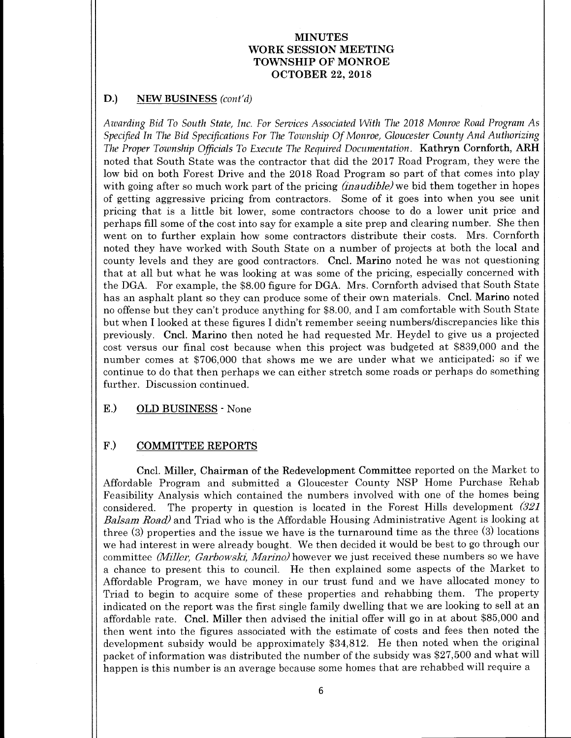# D.) NEW BUSINESS (cont'd)

Awarding Bid To South State, Inc. For Services Associated With The 2018 Monroe Road Program As Specified In The Bid Specifications For The Township Of Monroe, Gloucester County And Authorizing The Proper Township Officials To Execute The Required Documentation. Kathryn Cornforth, ARH noted that South State was the contractor that did the 2017 Road Program, they were the low bid on both Forest Drive and the 2018 Road Program so part of that comes into play with going after so much work part of the pricing *(inaudible)* we bid them together in hopes of getting aggressive pricing from contractors. Some of it goes into when you see unit pricing that is <sup>a</sup> little bit lower, some contractors choose to do a lower unit price and perhaps fill some of the cost into say for example <sup>a</sup> site prep and clearing number. She then went on to further explain how some contractors distribute their costs. Mrs. Cornforth noted they have worked with South State on a number of projects at both the local and county levels and they are good contractors. Cncl. Marino noted he was not questioning that at all but what he was looking at was some of the pricing, especially concerned with the DGA. For example, the \$8. 00 figure for DGA. Mrs. Cornforth advised that South State has an asphalt plant so they can produce some of their own materials. Cncl. Marino noted no offense but they can't produce anything for \$8.00, and I am comfortable with South State but when I looked at these figures I didn't remember seeing numbers/discrepancies like this previously. Cncl. Marino then noted he had requested Mr. Heydel to give us <sup>a</sup> projected cost versus our final cost because when this project was budgeted at \$839,000 and the number comes at \$706,000 that shows me we are under what we anticipated; so if we continue to do that then perhaps we can either stretch some roads or perhaps do something further. Discussion continued.

#### E.) OLD BUSINESS - None

#### F.) COMMITTEE REPORTS

Cncl. Miller, Chairman of the Redevelopment Committee reported on the Market to Affordable Program and submitted a Gloucester County NSP Home Purchase Rehab Feasibility Analysis which contained the numbers involved with one of the homes being considered. The property in question is located in the Forest Hills development  $(321)$ Balsam Road) and Triad who is the Affordable Housing Administrative Agent is looking at three  $(3)$  properties and the issue we have is the turnaround time as the three  $(3)$  locations we had interest in were already bought. We then decided it would be best to go through our committee (Miller, Garbowski, Marino) however we just received these numbers so we have a chance to present this to council. He then explained some aspects of the Market to Affordable Program, we have money in our trust fund and we have allocated money to Triad to begin to acquire some of these properties and rehabbing them. The property indicated on the report was the first single family dwelling that we are looking to sell at an affordable rate. Cncl. Miller then advised the initial offer will go in at about \$85,000 and then went into the figures associated with the estimate of costs and fees then noted the development subsidy would be approximately \$34,812. He then noted when the original packet of information was distributed the number of the subsidy was \$27,500 and what will happen is this number is an average because some homes that are rehabbed will require <sup>a</sup>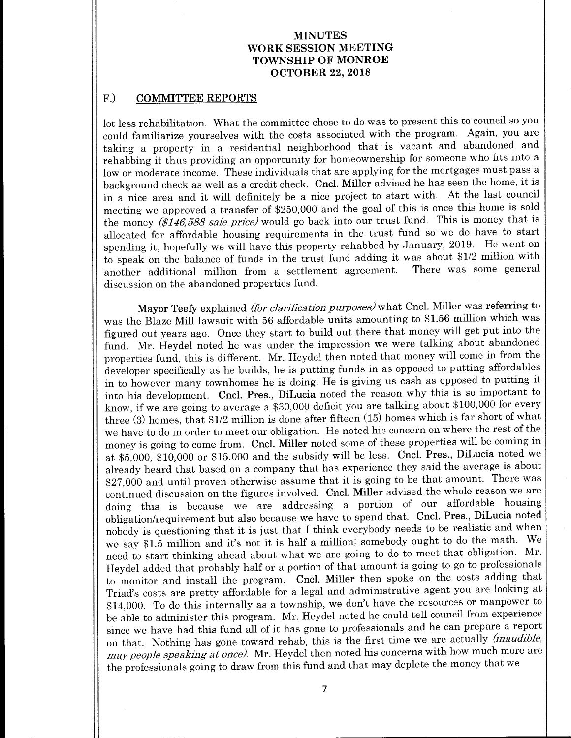# F.) COMMITTEE REPORTS

lot less rehabilitation. What the committee chose to do was to present this to council so you could familiarize yourselves with the costs associated with the program. Again, you are taking a property in a residential neighborhood that is vacant and abandoned and rehabbing it thus providing an opportunity for homeownership for someone who fits into <sup>a</sup> low or moderate income. These individuals that are applying for the mortgages must pass a background check as well as <sup>a</sup> credit check. Cncl. Miller advised he has seen the home, it is in <sup>a</sup> nice area and it will definitely be <sup>a</sup> nice project to start with. At the last council meeting we approved a transfer of \$250,000 and the goal of this is once this home is sold the money  $(\$146,588 \text{ sale price})$  would go back into our trust fund. This is money that is allocated for affordable housing requirements in the trust fund so we do have to start spending it, hopefully we will have this property rehabbed by January, 2019. He went on to speak on the balance of funds in the trust fund adding it was about  $$1/2$  million with another additional million from a settlement agreement. There was some general another additional million from a settlement agreement. discussion on the abandoned properties fund.

Mayor Teefy explained (for clarification purposes) what Cncl. Miller was referring to was the Blaze Mill lawsuit with 56 affordable units amounting to \$1.56 million which was figured out years ago. Once they start to build out there that money will get put into the fund. Mr. Heydel noted he was under the impression we were talking about abandoned properties fund, this is different. Mr. Heydel then noted that money will come in from the developer specifically as he builds, he is putting funds in as opposed to putting affordables in to however many townhomes he is doing. He is giving us cash as opposed to putting it into his development. Cncl. Pres., DiLucia noted the reason why this is so important to know, if we are going to average a \$30,000 deficit you are talking about \$100,000 for every three (3) homes, that  $$1/2$  million is done after fifteen (15) homes which is far short of what we have to do in order to meet our obligation. He noted his concern on where the rest of the money is going to come from. Cncl. Miller noted some of these properties will be coming in at \$5,000, \$10,000 or \$15,000 and the subsidy will be less. Cncl. Pres., DiLucia noted we already heard that based on a company that has experience they said the average is about 27, <sup>000</sup> and until proven otherwise assume that it is going to be that amount. There was continued discussion on the figures involved. Cncl. Miller advised the whole reason we are doing this is because we are addressing <sup>a</sup> portion of our affordable housing obligation/requirement but also because we have to spend that. Cncl. Pres., DiLucia noted nobody is questioning that it is just that I think everybody needs to be realistic and when we say \$1.5 million and it's not it is half a million; somebody ought to do the math. We need to start thinking ahead about what we are going to do to meet that obligation. Mr. Heydel added that probably half or a portion of that amount is going to go to professionals to monitor and install the program. Cncl. Miller then spoke on the costs adding that Triad's costs are pretty affordable for a legal and administrative agent you are looking at 14, 000. To do this internally as a township, we don't have the resources or manpower to be able to administer this program. Mr. Heydel noted he could tell council from experience since we have had this fund all of it has gone to professionals and he can prepare <sup>a</sup> report on that. Nothing has gone toward rehab, this is the first time we are actually *(inaudible,* may people speaking at once). Mr. Heydel then noted his concerns with how much more are the professionals going to draw from this fund and that may deplete the money that we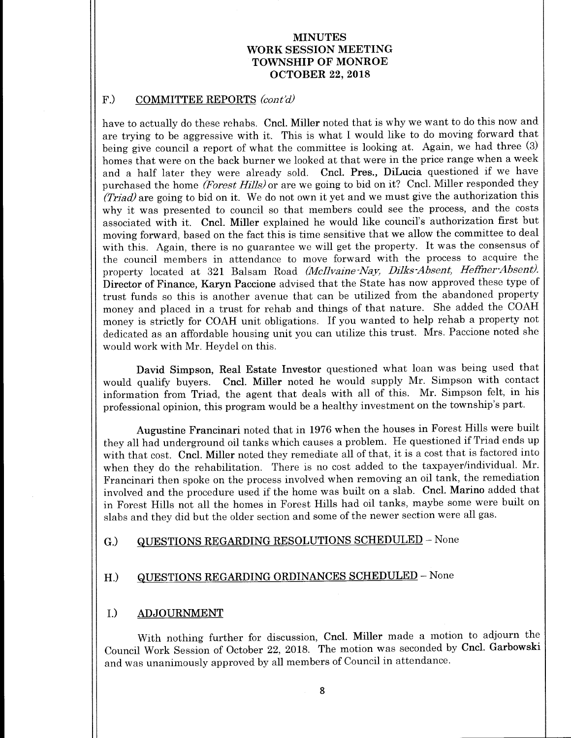#### F.) COMMITTEE REPORTS  $\langle \text{cont'}d \rangle$

have to actually do these rehabs. Cncl. Miller noted that is why we want to do this now and are trying to be aggressive with it. This is what <sup>I</sup> would like to do moving forward that being give council a report of what the committee is looking at. Again, we had three (3) homes that were on the back burner we looked at that were in the price range when a week and <sup>a</sup> half later they were already sold. Cncl. Pres., DiLucia questioned if we have purchased the home (Forest Hills) or are we going to bid on it? Cncl. Miller responded they Triad) are going to bid on it. We do not own it yet and we must give the authorization this why it was presented to council so that members could see the process, and the costs associated with it. Cncl. Miller explained he would like council's authorization first but moving forward, based on the fact this is time sensitive that we allow the committee to deal with this. Again, there is no guarantee we will get the property. It was the consensus of the council members in attendance to move forward with the process to acquire the property located at 321 Balsam Road (McIlvaine-Nay, Dilks-Absent, Heffner-Absent). Director of Finance, Karyn Paccione advised that the State has now approved these type of trust funds so this is another avenue that can be utilized from the abandoned property money and placed in <sup>a</sup> trust for rehab and things of that nature. She added the COAH money is strictly for COAH unit obligations. If you wanted to help rehab <sup>a</sup> property not dedicated as an affordable housing unit you can utilize this trust. Mrs. Paccione noted she would work with Mr. Heydel on this.

David Simpson, Real Estate Investor questioned what loan was being used that would qualify buyers. Cncl. Miller noted he would supply Mr. Simpson with contact information from Triad, the agent that deals with all of this. Mr. Simpson felt, in his professional opinion, this program would be a healthy investment on the township's part.

Augustine Francinari noted that in 1976 when the houses in Forest Hills were built they all had underground oil tanks which causes <sup>a</sup> problem. He questioned if Triad ends up with that cost. Cncl. Miller noted they remediate all of that, it is <sup>a</sup> cost that is factored into when they do the rehabilitation. There is no cost added to the taxpayer/individual. Mr. Francinari then spoke on the process involved when removing an oil tank, the remediation involved and the procedure used if the home was built on <sup>a</sup> slab. Cncl. Marino added that in Forest Hills not all the homes in Forest Hills had oil tanks, maybe some were built on slabs and they did but the older section and some of the newer section were all gas.

# G.) QUESTIONS REGARDING RESOLUTIONS SCHEDULED - None

# H.) QUESTIONS REGARDING ORDINANCES SCHEDULED - None

#### I.) ADJOURNMENT

With nothing further for discussion, Cncl. Miller made a motion to adjourn the Council Work Session of October 22, 2018. The motion was seconded by Cncl. Garbowski and was unanimously approved by all members of Council in attendance.